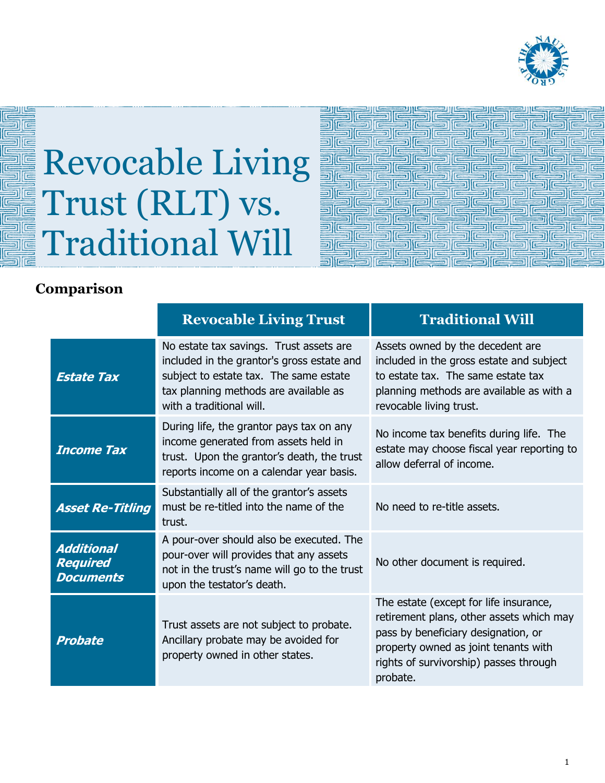

## Revocable Living Trust (RLT) vs. Traditional Will

| 信                | $=$                                  | $=$                                  |                               | $\equiv$                 | Ī                    |
|------------------|--------------------------------------|--------------------------------------|-------------------------------|--------------------------|----------------------|
| Œ                | $\overline{a}$<br>$\sqrt{2}$         | $\equiv$                             | <b>FEE</b>                    |                          |                      |
| $\overline{a}$   |                                      | $\equiv$                             | $\overline{ }$<br>$=$<br>EEIE |                          | Si                   |
| <b>IEE</b>       |                                      |                                      |                               | <b>REAL</b><br><b>IF</b> |                      |
| E<br>$\sqrt{2}$  |                                      |                                      |                               | 'E                       | $\equiv$<br>三        |
| e                |                                      | E                                    | $\equiv$                      | E<br>$=$                 |                      |
| 1                | 信                                    |                                      |                               |                          | 클                    |
|                  | E<br><b>IEEE</b>                     | ree                                  | $\equiv$<br>E                 | $\equiv$<br><b>IES</b>   | IC<br>$\overline{a}$ |
|                  | E                                    | E                                    | $\sqrt{2}$                    | 'IE                      |                      |
| ES<br>$\sqrt{2}$ | E<br>$\equiv$ $\equiv$<br><b>FEE</b> | Fil<br>$\sqrt{2}$<br><b>Festival</b> | $  \equiv$<br>F               | $\equiv$                 | كالصر                |
|                  | 信                                    |                                      |                               |                          |                      |

## **Comparison**

|                                                          | <b>Revocable Living Trust</b>                                                                                                                                                                        | <b>Traditional Will</b>                                                                                                                                                                                                 |  |
|----------------------------------------------------------|------------------------------------------------------------------------------------------------------------------------------------------------------------------------------------------------------|-------------------------------------------------------------------------------------------------------------------------------------------------------------------------------------------------------------------------|--|
| <b>Estate Tax</b>                                        | No estate tax savings. Trust assets are<br>included in the grantor's gross estate and<br>subject to estate tax. The same estate<br>tax planning methods are available as<br>with a traditional will. | Assets owned by the decedent are<br>included in the gross estate and subject<br>to estate tax. The same estate tax<br>planning methods are available as with a<br>revocable living trust.                               |  |
| <b>Income Tax</b>                                        | During life, the grantor pays tax on any<br>income generated from assets held in<br>trust. Upon the grantor's death, the trust<br>reports income on a calendar year basis.                           | No income tax benefits during life. The<br>estate may choose fiscal year reporting to<br>allow deferral of income.                                                                                                      |  |
| <b>Asset Re-Titling</b>                                  | Substantially all of the grantor's assets<br>must be re-titled into the name of the<br>trust.                                                                                                        | No need to re-title assets.                                                                                                                                                                                             |  |
| <b>Additional</b><br><b>Required</b><br><b>Documents</b> | A pour-over should also be executed. The<br>pour-over will provides that any assets<br>not in the trust's name will go to the trust<br>upon the testator's death.                                    | No other document is required.                                                                                                                                                                                          |  |
| <b>Probate</b>                                           | Trust assets are not subject to probate.<br>Ancillary probate may be avoided for<br>property owned in other states.                                                                                  | The estate (except for life insurance,<br>retirement plans, other assets which may<br>pass by beneficiary designation, or<br>property owned as joint tenants with<br>rights of survivorship) passes through<br>probate. |  |